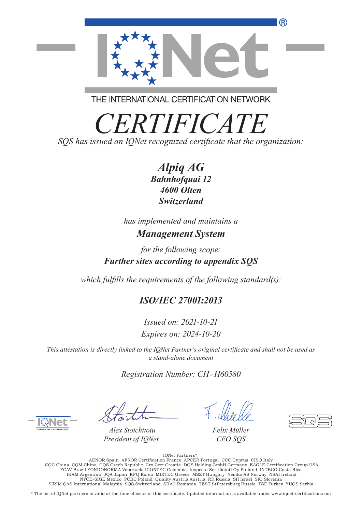

THE INTERNATIONAL CERTIFICATION NETWORK

*CERTIFICATE*

*SQS has issued an IQNet recognized certificate that the organization:*

*Alpiq AG Bahnhofquai 12 4600 Olten Switzerland*

*has implemented and maintains a Management System*

*for the following scope: Further sites according to appendix SQS*

*which fulfills the requirements of the following standard(s):*

### *ISO/IEC 27001:2013*

*Issued on: 2021-10-21 Expires on: 2024-10-20*

*This attestation is directly linked to the IQNet Partner's original certificate and shall not be used as a stand-alone document*

*Registration Number: CH-H60580*

*Alex Stoichitoiu President of IQNet*

*Felix Müller CEO SQS*

.:\* IQNet Partners<br>AENOR Spain AFNOR Certification France APCER Portugal CCC Cyprus CISQ Italy<br>CQC China CQM China CQS Czech Republic Cro Cert Croatia DQS Holding GmbH Germany EAGLE Certification Group USA<br>FCAV Br IRAM Argentina JQA Japan KFQ Korea MIRTEC Greece MSZT Hungary Nemko AS Norway NSAI Ireland NYCE-SIGE México PCBC Poland Quality Austria Austria RR Russia SII Israel SIQ Slovenia SIRIM QAS International Malaysia SQS Switzerland SRAC Romania TEST StPetersburg Russia TSE Turkey YUQS Serbia

\* The list of IQNet partners is valid at the time of issue of this certificate. Updated information is available under www.iqnet-certification.com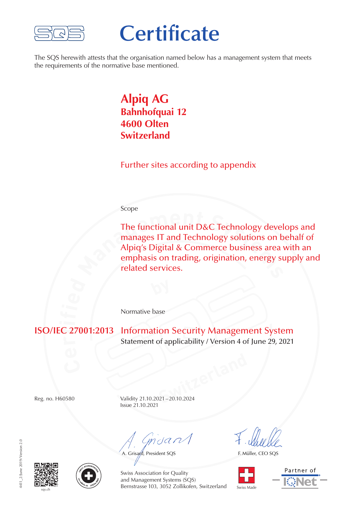

# **Certificate**

The SQS herewith attests that the organisation named below has a management system that meets the requirements of the normative base mentioned.

### **Alpiq AG Bahnhofquai 12 4600 Olten Switzerland**

Further sites according to appendix

#### Scope

**The functional unit D&C Technology devel manages IT and Technology solutions on b Alpiq's Digital & Commerce business area were emphasis on trading, origination, energy su related services.** The functional unit D&C Technology develops and manages IT and Technology solutions on behalf of Alpiq's Digital & Commerce business area with an emphasis on trading, origination, energy supply and related services.

Normative base

**C** 2 **Information Security Management System** Statement of applicability / Version 4 of June 29, 2021

**SWITZER 1899** Reg. no. H60580 Validity 21.10.2021–20.10.2024 Issue 21.10.2021

 $m$ dan $\sqrt{}$ 

A. Grisard, President SQS

F. Müller, CEO SQS



Partner of





Swiss Association for Quality and Management Systems (SQS) sqs.ch Switzerland Swiss Made Switzerland Swiss Made Switzerland Swiss Made